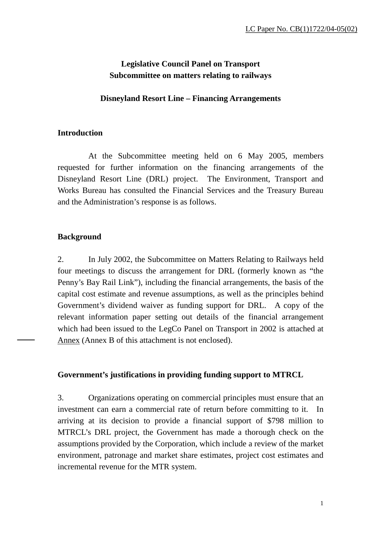### **Legislative Council Panel on Transport Subcommittee on matters relating to railways**

### **Disneyland Resort Line – Financing Arrangements**

### **Introduction**

At the Subcommittee meeting held on 6 May 2005, members requested for further information on the financing arrangements of the Disneyland Resort Line (DRL) project. The Environment, Transport and Works Bureau has consulted the Financial Services and the Treasury Bureau and the Administration's response is as follows.

### **Background**

2. In July 2002, the Subcommittee on Matters Relating to Railways held four meetings to discuss the arrangement for DRL (formerly known as "the Penny's Bay Rail Link"), including the financial arrangements, the basis of the capital cost estimate and revenue assumptions, as well as the principles behind Government's dividend waiver as funding support for DRL. A copy of the relevant information paper setting out details of the financial arrangement which had been issued to the LegCo Panel on Transport in 2002 is attached at Annex (Annex B of this attachment is not enclosed).

### **Government's justifications in providing funding support to MTRCL**

3. Organizations operating on commercial principles must ensure that an investment can earn a commercial rate of return before committing to it. In arriving at its decision to provide a financial support of \$798 million to MTRCL's DRL project, the Government has made a thorough check on the assumptions provided by the Corporation, which include a review of the market environment, patronage and market share estimates, project cost estimates and incremental revenue for the MTR system.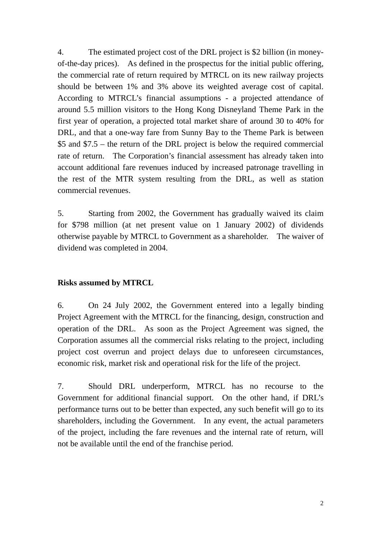4. The estimated project cost of the DRL project is \$2 billion (in moneyof-the-day prices). As defined in the prospectus for the initial public offering, the commercial rate of return required by MTRCL on its new railway projects should be between 1% and 3% above its weighted average cost of capital. According to MTRCL's financial assumptions - a projected attendance of around 5.5 million visitors to the Hong Kong Disneyland Theme Park in the first year of operation, a projected total market share of around 30 to 40% for DRL, and that a one-way fare from Sunny Bay to the Theme Park is between \$5 and \$7.5 – the return of the DRL project is below the required commercial rate of return. The Corporation's financial assessment has already taken into account additional fare revenues induced by increased patronage travelling in the rest of the MTR system resulting from the DRL, as well as station commercial revenues.

5. Starting from 2002, the Government has gradually waived its claim for \$798 million (at net present value on 1 January 2002) of dividends otherwise payable by MTRCL to Government as a shareholder. The waiver of dividend was completed in 2004.

### **Risks assumed by MTRCL**

6. On 24 July 2002, the Government entered into a legally binding Project Agreement with the MTRCL for the financing, design, construction and operation of the DRL. As soon as the Project Agreement was signed, the Corporation assumes all the commercial risks relating to the project, including project cost overrun and project delays due to unforeseen circumstances, economic risk, market risk and operational risk for the life of the project.

7. Should DRL underperform, MTRCL has no recourse to the Government for additional financial support. On the other hand, if DRL's performance turns out to be better than expected, any such benefit will go to its shareholders, including the Government. In any event, the actual parameters of the project, including the fare revenues and the internal rate of return, will not be available until the end of the franchise period.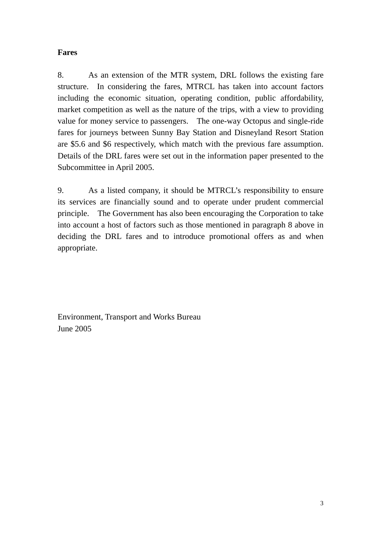### **Fares**

8. As an extension of the MTR system, DRL follows the existing fare structure. In considering the fares, MTRCL has taken into account factors including the economic situation, operating condition, public affordability, market competition as well as the nature of the trips, with a view to providing value for money service to passengers. The one-way Octopus and single-ride fares for journeys between Sunny Bay Station and Disneyland Resort Station are \$5.6 and \$6 respectively, which match with the previous fare assumption. Details of the DRL fares were set out in the information paper presented to the Subcommittee in April 2005.

9. As a listed company, it should be MTRCL's responsibility to ensure its services are financially sound and to operate under prudent commercial principle. The Government has also been encouraging the Corporation to take into account a host of factors such as those mentioned in paragraph 8 above in deciding the DRL fares and to introduce promotional offers as and when appropriate.

Environment, Transport and Works Bureau June 2005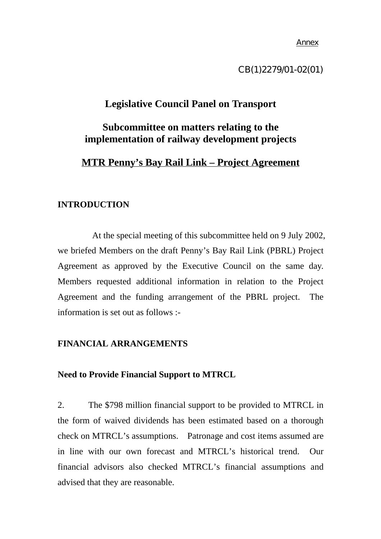Annex<br>CB(1)2279/01-02(01)

## **Legislative Council Panel on Transport**

## **Subcommittee on matters relating to the implementation of railway development projects**

### **MTR Penny's Bay Rail Link – Project Agreement**

### **INTRODUCTION**

At the special meeting of this subcommittee held on 9 July 2002, we briefed Members on the draft Penny's Bay Rail Link (PBRL) Project Agreement as approved by the Executive Council on the same day. Members requested additional information in relation to the Project Agreement and the funding arrangement of the PBRL project. The information is set out as follows :-

### **FINANCIAL ARRANGEMENTS**

### **Need to Provide Financial Support to MTRCL**

2. The \$798 million financial support to be provided to MTRCL in the form of waived dividends has been estimated based on a thorough check on MTRCL's assumptions. Patronage and cost items assumed are in line with our own forecast and MTRCL's historical trend. Our financial advisors also checked MTRCL's financial assumptions and advised that they are reasonable.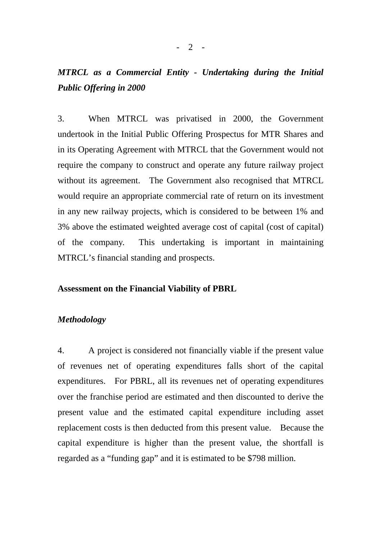## *MTRCL as a Commercial Entity - Undertaking during the Initial Public Offering in 2000*

3. When MTRCL was privatised in 2000, the Government undertook in the Initial Public Offering Prospectus for MTR Shares and in its Operating Agreement with MTRCL that the Government would not require the company to construct and operate any future railway project without its agreement. The Government also recognised that MTRCL would require an appropriate commercial rate of return on its investment in any new railway projects, which is considered to be between 1% and 3% above the estimated weighted average cost of capital (cost of capital) of the company. This undertaking is important in maintaining MTRCL's financial standing and prospects.

#### **Assessment on the Financial Viability of PBRL**

### *Methodology*

4. A project is considered not financially viable if the present value of revenues net of operating expenditures falls short of the capital expenditures. For PBRL, all its revenues net of operating expenditures over the franchise period are estimated and then discounted to derive the present value and the estimated capital expenditure including asset replacement costs is then deducted from this present value. Because the capital expenditure is higher than the present value, the shortfall is regarded as a "funding gap" and it is estimated to be \$798 million.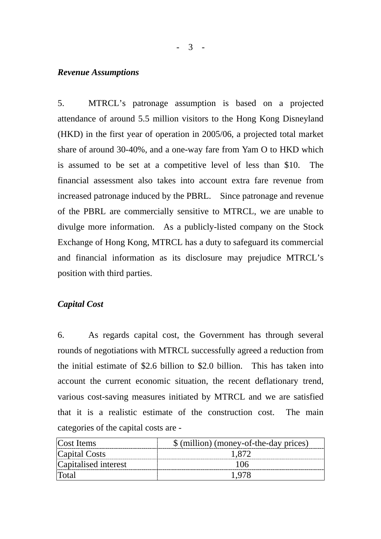#### *Revenue Assumptions*

5. MTRCL's patronage assumption is based on a projected attendance of around 5.5 million visitors to the Hong Kong Disneyland (HKD) in the first year of operation in 2005/06, a projected total market share of around 30-40%, and a one-way fare from Yam O to HKD which is assumed to be set at a competitive level of less than \$10. The financial assessment also takes into account extra fare revenue from increased patronage induced by the PBRL. Since patronage and revenue of the PBRL are commercially sensitive to MTRCL, we are unable to divulge more information. As a publicly-listed company on the Stock Exchange of Hong Kong, MTRCL has a duty to safeguard its commercial and financial information as its disclosure may prejudice MTRCL's position with third parties.

#### *Capital Cost*

6. As regards capital cost, the Government has through several rounds of negotiations with MTRCL successfully agreed a reduction from the initial estimate of \$2.6 billion to \$2.0 billion. This has taken into account the current economic situation, the recent deflationary trend, various cost-saving measures initiated by MTRCL and we are satisfied that it is a realistic estimate of the construction cost. The main categories of the capital costs are -

| Cost Items           | \$ (million) (money-of-the-day prices) |
|----------------------|----------------------------------------|
| Capital Costs        |                                        |
| Capitalised interest |                                        |
| Total                |                                        |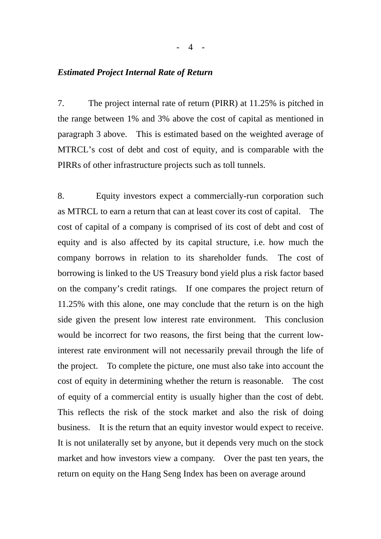#### *Estimated Project Internal Rate of Return*

7. The project internal rate of return (PIRR) at 11.25% is pitched in the range between 1% and 3% above the cost of capital as mentioned in paragraph 3 above. This is estimated based on the weighted average of MTRCL's cost of debt and cost of equity, and is comparable with the PIRRs of other infrastructure projects such as toll tunnels.

8. Equity investors expect a commercially-run corporation such as MTRCL to earn a return that can at least cover its cost of capital. The cost of capital of a company is comprised of its cost of debt and cost of equity and is also affected by its capital structure, i.e. how much the company borrows in relation to its shareholder funds. The cost of borrowing is linked to the US Treasury bond yield plus a risk factor based on the company's credit ratings. If one compares the project return of 11.25% with this alone, one may conclude that the return is on the high side given the present low interest rate environment. This conclusion would be incorrect for two reasons, the first being that the current lowinterest rate environment will not necessarily prevail through the life of the project. To complete the picture, one must also take into account the cost of equity in determining whether the return is reasonable. The cost of equity of a commercial entity is usually higher than the cost of debt. This reflects the risk of the stock market and also the risk of doing business. It is the return that an equity investor would expect to receive. It is not unilaterally set by anyone, but it depends very much on the stock market and how investors view a company. Over the past ten years, the return on equity on the Hang Seng Index has been on average around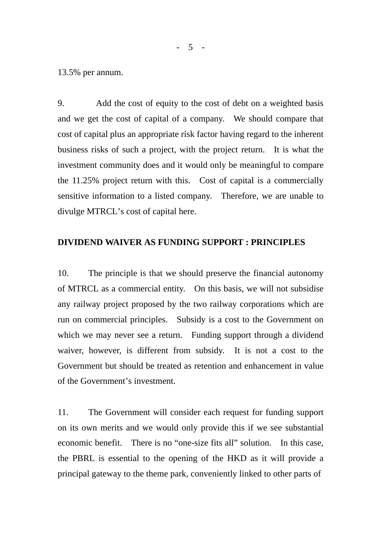13.5% per annum.

9. Add the cost of equity to the cost of debt on a weighted basis and we get the cost of capital of a company. We should compare that cost of capital plus an appropriate risk factor having regard to the inherent business risks of such a project, with the project return. It is what the investment community does and it would only be meaningful to compare the 11.25% project return with this. Cost of capital is a commercially sensitive information to a listed company. Therefore, we are unable to divulge MTRCL's cost of capital here.

### **DIVIDEND WAIVER AS FUNDING SUPPORT : PRINCIPLES**

10. The principle is that we should preserve the financial autonomy of MTRCL as a commercial entity. On this basis, we will not subsidise any railway project proposed by the two railway corporations which are run on commercial principles. Subsidy is a cost to the Government on which we may never see a return. Funding support through a dividend waiver, however, is different from subsidy. It is not a cost to the Government but should be treated as retention and enhancement in value of the Government's investment.

11. The Government will consider each request for funding support on its own merits and we would only provide this if we see substantial economic benefit. There is no "one-size fits all" solution. In this case, the PBRL is essential to the opening of the HKD as it will provide a principal gateway to the theme park, conveniently linked to other parts of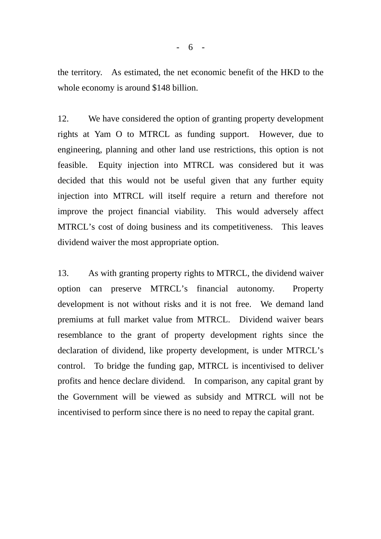the territory. As estimated, the net economic benefit of the HKD to the whole economy is around \$148 billion.

12. We have considered the option of granting property development rights at Yam O to MTRCL as funding support. However, due to engineering, planning and other land use restrictions, this option is not feasible. Equity injection into MTRCL was considered but it was decided that this would not be useful given that any further equity injection into MTRCL will itself require a return and therefore not improve the project financial viability. This would adversely affect MTRCL's cost of doing business and its competitiveness. This leaves dividend waiver the most appropriate option.

13. As with granting property rights to MTRCL, the dividend waiver option can preserve MTRCL's financial autonomy. Property development is not without risks and it is not free. We demand land premiums at full market value from MTRCL. Dividend waiver bears resemblance to the grant of property development rights since the declaration of dividend, like property development, is under MTRCL's control. To bridge the funding gap, MTRCL is incentivised to deliver profits and hence declare dividend. In comparison, any capital grant by the Government will be viewed as subsidy and MTRCL will not be incentivised to perform since there is no need to repay the capital grant.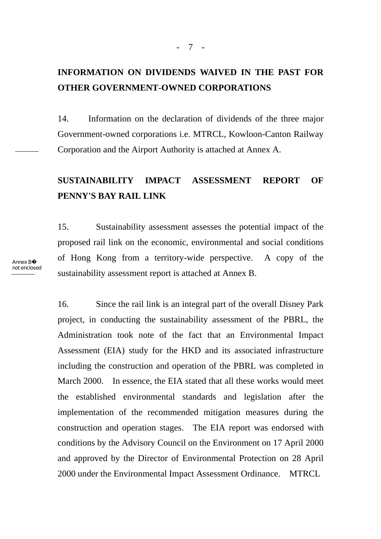## **INFORMATION ON DIVIDENDS WAIVED IN THE PAST FOR OTHER GOVERNMENT-OWNED CORPORATIONS**

14. Information on the declaration of dividends of the three major Government-owned corporations i.e. MTRCL, Kowloon-Canton Railway Corporation and the Airport Authority is attached at Annex A.

# **SUSTAINABILITY IMPACT ASSESSMENT REPORT OF PENNY'S BAY RAIL LINK**

15. Sustainability assessment assesses the potential impact of the proposed rail link on the economic, environmental and social conditions of Hong Kong from a territory-wide perspective. A copy of the sustainability assessment report is attached at Annex B.

16. Since the rail link is an integral part of the overall Disney Park project, in conducting the sustainability assessment of the PBRL, the Administration took note of the fact that an Environmental Impact Assessment (EIA) study for the HKD and its associated infrastructure including the construction and operation of the PBRL was completed in March 2000. In essence, the EIA stated that all these works would meet the established environmental standards and legislation after the implementation of the recommended mitigation measures during the construction and operation stages. The EIA report was endorsed with conditions by the Advisory Council on the Environment on 17 April 2000 and approved by the Director of Environmental Protection on 28 April 2000 under the Environmental Impact Assessment Ordinance. MTRCL

Annex B not enclosed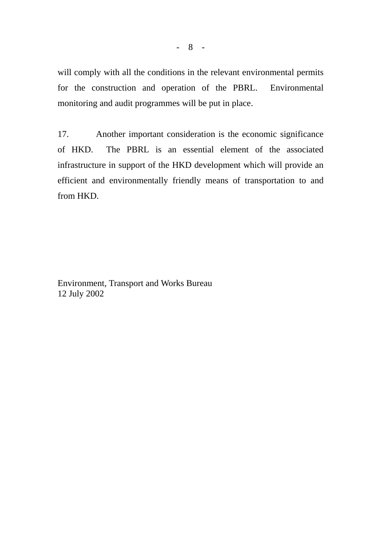will comply with all the conditions in the relevant environmental permits for the construction and operation of the PBRL. Environmental monitoring and audit programmes will be put in place.

17. Another important consideration is the economic significance of HKD. The PBRL is an essential element of the associated infrastructure in support of the HKD development which will provide an efficient and environmentally friendly means of transportation to and from HKD.

Environment, Transport and Works Bureau 12 July 2002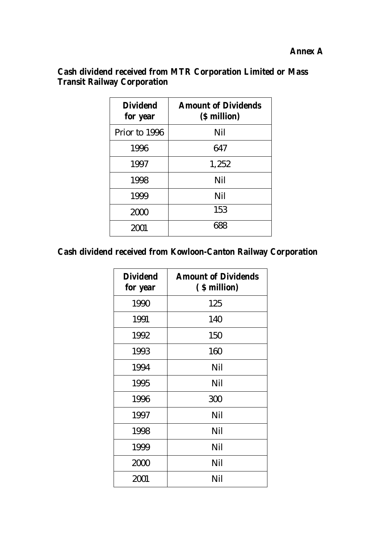| <b>Dividend</b><br>for year | <b>Amount of Dividends</b><br>(\$ million) |
|-----------------------------|--------------------------------------------|
| Prior to 1996               | Nil                                        |
| 1996                        | 647                                        |
| 1997                        | 1,252                                      |
| 1998                        | Nil                                        |
| 1999                        | Nil                                        |
| 2000                        | 153                                        |
| 2001                        | 688                                        |

## **Cash dividend received from MTR Corporation Limited or Mass Transit Railway Corporation**

# **Cash dividend received from Kowloon-Canton Railway Corporation**

| <b>Dividend</b><br>for year | <b>Amount of Dividends</b><br>(\$ million) |
|-----------------------------|--------------------------------------------|
| 1990                        | 125                                        |
| 1991                        | 140                                        |
| 1992                        | 150                                        |
| 1993                        | 160                                        |
| 1994                        | Nil                                        |
| 1995                        | Nil                                        |
| 1996                        | 300                                        |
| 1997                        | Nil                                        |
| 1998                        | Nil                                        |
| 1999                        | Nil                                        |
| 2000                        | Nil                                        |
| 2001                        | Nil                                        |